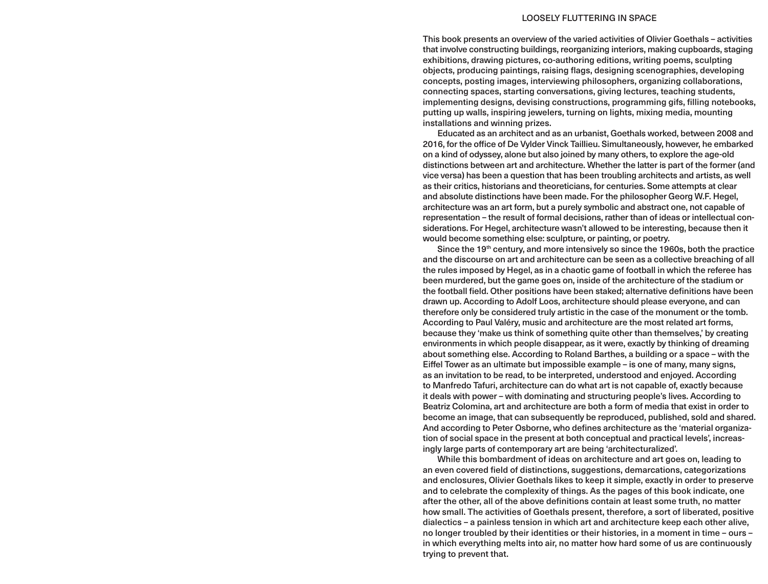## LOOSELY FLUTTERING IN SPACE

This book presents an overview of the varied activities of Olivier Goethals – activities that involve constructing buildings, reorganizing interiors, making cupboards, staging exhibitions, drawing pictures, co-authoring editions, writing poems, sculpting objects, producing paintings, raising flags, designing scenographies, developing concepts, posting images, interviewing philosophers, organizing collaborations, connecting spaces, starting conversations, giving lectures, teaching students, implementing designs, devising constructions, programming gifs, filling notebooks, putting up walls, inspiring jewelers, turning on lights, mixing media, mounting installations and winning prizes.

Educated as an architect and as an urbanist, Goethals worked, between 2008 and 2016, for the office of De Vylder Vinck Taillieu. Simultaneously, however, he embarked on a kind of odyssey, alone but also joined by many others, to explore the age-old distinctions between art and architecture. Whether the latter is part of the former (and vice versa) has been a question that has been troubling architects and artists, as well as their critics, historians and theoreticians, for centuries. Some attempts at clear and absolute distinctions have been made. For the philosopher Georg W.F. Hegel, architecture was an art form, but a purely symbolic and abstract one, not capable of representation – the result of formal decisions, rather than of ideas or intellectual considerations. For Hegel, architecture wasn't allowed to be interesting, because then it would become something else: sculpture, or painting, or poetry.

Since the 19th century, and more intensively so since the 1960s, both the practice and the discourse on art and architecture can be seen as a collective breaching of all the rules imposed by Hegel, as in a chaotic game of football in which the referee has been murdered, but the game goes on, inside of the architecture of the stadium or the football field. Other positions have been staked; alternative definitions have been drawn up. According to Adolf Loos, architecture should please everyone, and can therefore only be considered truly artistic in the case of the monument or the tomb. According to Paul Valéry, music and architecture are the most related art forms, because they 'make us think of something quite other than themselves,' by creating environments in which people disappear, as it were, exactly by thinking of dreaming about something else. According to Roland Barthes, a building or a space – with the Eiffel Tower as an ultimate but impossible example – is one of many, many signs, as an invitation to be read, to be interpreted, understood and enjoyed. According to Manfredo Tafuri, architecture can do what art is not capable of, exactly because it deals with power – with dominating and structuring people's lives. According to Beatriz Colomina, art and architecture are both a form of media that exist in order to become an image, that can subsequently be reproduced, published, sold and shared. And according to Peter Osborne, who defines architecture as the 'material organization of social space in the present at both conceptual and practical levels', increasingly large parts of contemporary art are being 'architecturalized'.

While this bombardment of ideas on architecture and art goes on, leading to an even covered field of distinctions, suggestions, demarcations, categorizations and enclosures, Olivier Goethals likes to keep it simple, exactly in order to preserve and to celebrate the complexity of things. As the pages of this book indicate, one after the other, all of the above definitions contain at least some truth, no matter how small. The activities of Goethals present, therefore, a sort of liberated, positive dialectics – a painless tension in which art and architecture keep each other alive, no longer troubled by their identities or their histories, in a moment in time – ours – in which everything melts into air, no matter how hard some of us are continuously trying to prevent that.